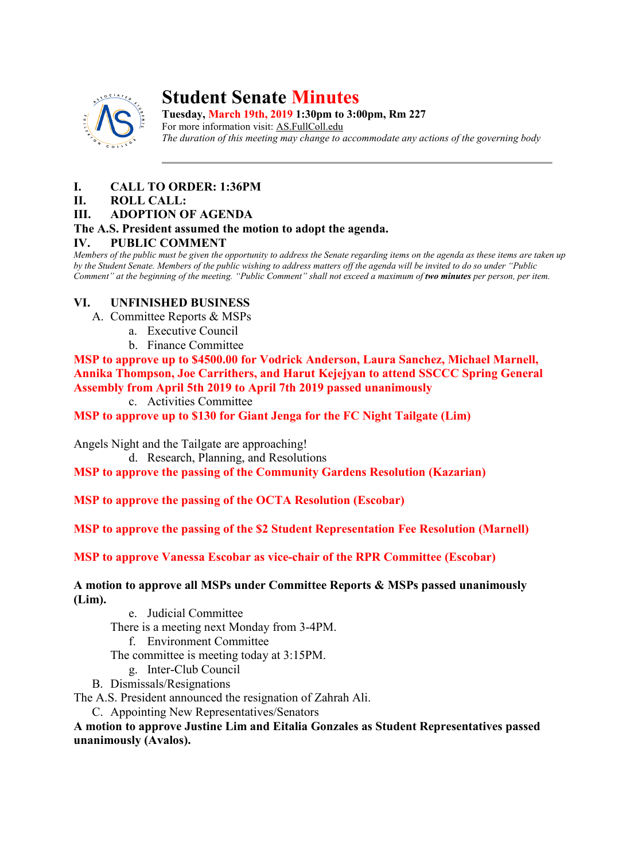

# **Student Senate Minutes**

**Tuesday, March 19th, 2019 1:30pm to 3:00pm, Rm 227** For more information visit: AS.FullColl.edu *The duration of this meeting may change to accommodate any actions of the governing body*

# **I. CALL TO ORDER: 1:36PM**

#### **II. ROLL CALL:**

#### **III. ADOPTION OF AGENDA**

## **The A.S. President assumed the motion to adopt the agenda.**

#### **IV. PUBLIC COMMENT**

*Members of the public must be given the opportunity to address the Senate regarding items on the agenda as these items are taken up by the Student Senate. Members of the public wishing to address matters off the agenda will be invited to do so under "Public Comment" at the beginning of the meeting. "Public Comment" shall not exceed a maximum of two minutes per person, per item.*

## **VI. UNFINISHED BUSINESS**

- A. Committee Reports & MSPs
	- a. Executive Council
	- b. Finance Committee

**MSP to approve up to \$4500.00 for Vodrick Anderson, Laura Sanchez, Michael Marnell, Annika Thompson, Joe Carrithers, and Harut Kejejyan to attend SSCCC Spring General Assembly from April 5th 2019 to April 7th 2019 passed unanimously**

c. Activities Committee

**MSP to approve up to \$130 for Giant Jenga for the FC Night Tailgate (Lim)**

Angels Night and the Tailgate are approaching!

d. Research, Planning, and Resolutions

**MSP to approve the passing of the Community Gardens Resolution (Kazarian)**

**MSP to approve the passing of the OCTA Resolution (Escobar)**

**MSP to approve the passing of the \$2 Student Representation Fee Resolution (Marnell)**

**MSP to approve Vanessa Escobar as vice-chair of the RPR Committee (Escobar)**

**A motion to approve all MSPs under Committee Reports & MSPs passed unanimously (Lim).**

- e. Judicial Committee
- There is a meeting next Monday from 3-4PM.
	- f. Environment Committee

The committee is meeting today at 3:15PM.

- g. Inter-Club Council
- B. Dismissals/Resignations

The A.S. President announced the resignation of Zahrah Ali.

C. Appointing New Representatives/Senators

**A motion to approve Justine Lim and Eitalia Gonzales as Student Representatives passed unanimously (Avalos).**